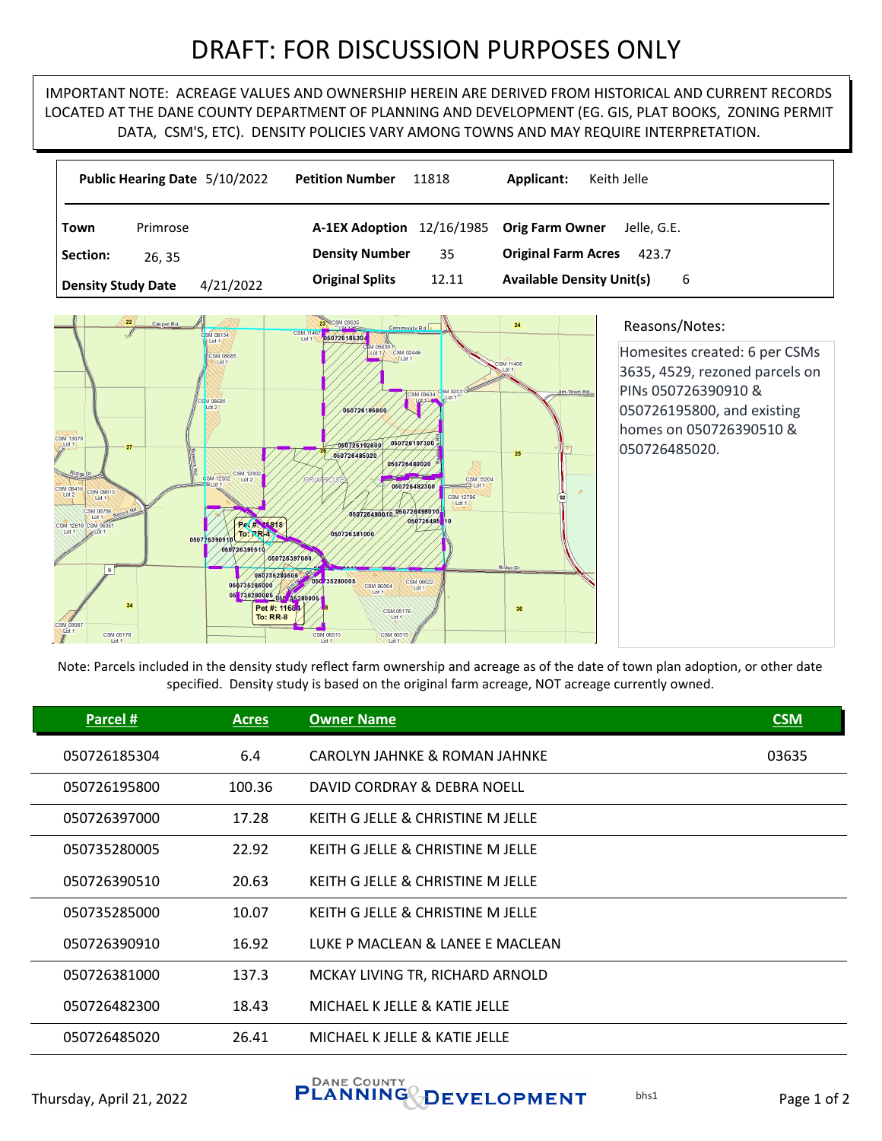## DRAFT: FOR DISCUSSION PURPOSES ONLY

IMPORTANT NOTE: ACREAGE VALUES AND OWNERSHIP HEREIN ARE DERIVED FROM HISTORICAL AND CURRENT RECORDS LOCATED AT THE DANE COUNTY DEPARTMENT OF PLANNING AND DEVELOPMENT (EG. GIS, PLAT BOOKS, ZONING PERMIT DATA, CSM'S, ETC). DENSITY POLICIES VARY AMONG TOWNS AND MAY REQUIRE INTERPRETATION.

|                           | Public Hearing Date 5/10/2022 | <b>Petition Number</b><br>11818     | Applicant:<br>Keith Jelle             |
|---------------------------|-------------------------------|-------------------------------------|---------------------------------------|
| Town                      | Primrose                      | 12/16/1985<br><b>A-1EX Adoption</b> | <b>Orig Farm Owner</b><br>Jelle, G.E. |
| Section:                  | 26, 35                        | <b>Density Number</b><br>35         | <b>Original Farm Acres</b><br>423.7   |
| <b>Density Study Date</b> | 4/21/2022                     | <b>Original Splits</b><br>12.11     | <b>Available Density Unit(s)</b><br>6 |



## Reasons/Notes:

Homesites created: 6 per CSMs 3635, 4529, rezoned parcels on PINs 050726390910 & 050726195800, and existing homes on 050726390510 & 050726485020.

Note: Parcels included in the density study reflect farm ownership and acreage as of the date of town plan adoption, or other date specified. Density study is based on the original farm acreage, NOT acreage currently owned.

| Parcel #     | <b>Acres</b> | <b>Owner Name</b>                 | <b>CSM</b> |
|--------------|--------------|-----------------------------------|------------|
| 050726185304 | 6.4          | CAROLYN JAHNKE & ROMAN JAHNKE     | 03635      |
| 050726195800 | 100.36       | DAVID CORDRAY & DEBRA NOELL       |            |
| 050726397000 | 17.28        | KEITH GJELLE & CHRISTINE MJELLE   |            |
| 050735280005 | 22.92        | KEITH G JELLE & CHRISTINE M JELLE |            |
| 050726390510 | 20.63        | KEITH G JELLE & CHRISTINE M JELLE |            |
| 050735285000 | 10.07        | KEITH G JELLE & CHRISTINE M JELLE |            |
| 050726390910 | 16.92        | LUKE P MACLEAN & LANEE E MACLEAN  |            |
| 050726381000 | 137.3        | MCKAY LIVING TR, RICHARD ARNOLD   |            |
| 050726482300 | 18.43        | MICHAEL K JELLE & KATIE JELLE     |            |
| 050726485020 | 26.41        | MICHAEL K JELLE & KATIE JELLE     |            |